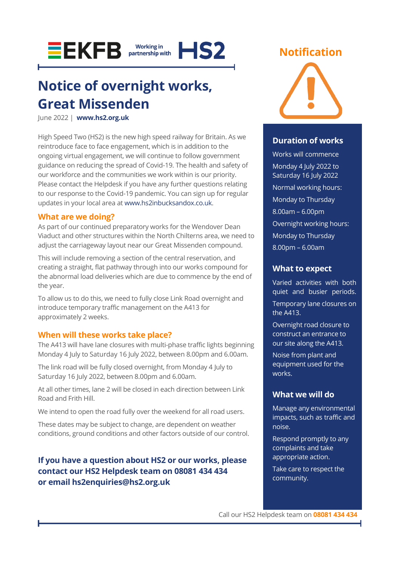

## **Notice of overnight works, Great Missenden**

June 2022 | **[www.hs2.org.uk](http://www.hs2.org.uk/)**

High Speed Two (HS2) is the new high speed railway for Britain. As we reintroduce face to face engagement, which is in addition to the ongoing virtual engagement, we will continue to follow government guidance on reducing the spread of Covid-19. The health and safety of our workforce and the communities we work within is our priority. Please contact the Helpdesk if you have any further questions relating to our response to the Covid-19 pandemic. You can sign up for regular updates in your local area a[t www.hs2inbucksandox.co.uk.](http://www.hs2inbucksandox.co.uk/)

#### **What are we doing?**

As part of our continued preparatory works for the Wendover Dean Viaduct and other structures within the North Chilterns area, we need to adjust the carriageway layout near our Great Missenden compound.

This will include removing a section of the central reservation, and creating a straight, flat pathway through into our works compound for the abnormal load deliveries which are due to commence by the end of the year.

To allow us to do this, we need to fully close Link Road overnight and introduce temporary traffic management on the A413 for approximately 2 weeks.

#### **When will these works take place?**

The A413 will have lane closures with multi-phase traffic lights beginning Monday 4 July to Saturday 16 July 2022, between 8.00pm and 6.00am.

The link road will be fully closed overnight, from Monday 4 July to Saturday 16 July 2022, between 8.00pm and 6.00am.

At all other times, lane 2 will be closed in each direction between Link Road and Frith Hill.

We intend to open the road fully over the weekend for all road users.

These dates may be subject to change, are dependent on weather conditions, ground conditions and other factors outside of our control.

#### **If you have a question about HS2 or our works, please contact our HS2 Helpdesk team on 08081 434 434 or email hs2enquiries@hs2.org.uk**

#### **Notification**



#### **Duration of works**

Works will commence Monday 4 July 2022 to Saturday 16 July 2022 Normal working hours: Monday to Thursday 8.00am – 6.00pm Overnight working hours: Monday to Thursday 8.00pm – 6.00am

#### **What to expect**

Varied activities with both quiet and busier periods. Temporary lane closures on the A413.

Overnight road closure to construct an entrance to our site along the A413. Noise from plant and

equipment used for the works.

#### **What we will do**

Manage any environmental impacts, such as traffic and noise.

Respond promptly to any complaints and take appropriate action. Take care to respect the community.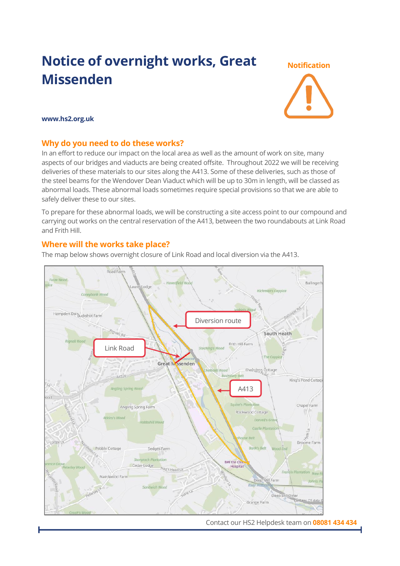### **Notice of overnight works, Great Missenden**

# **Notification**

#### **www.hs2.org.uk**

#### **Why do you need to do these works?**

In an effort to reduce our impact on the local area as well as the amount of work on site, many aspects of our bridges and viaducts are being created offsite. Throughout 2022 we will be receiving deliveries of these materials to our sites along the A413. Some of these deliveries, such as those of the steel beams for the Wendover Dean Viaduct which will be up to 30m in length, will be classed as abnormal loads. These abnormal loads sometimes require special provisions so that we are able to safely deliver these to our sites.

To prepare for these abnormal loads, we will be constructing a site access point to our compound and carrying out works on the central reservation of the A413, between the two roundabouts at Link Road and Frith Hill.

#### **Where will the works take place?**

The map below shows overnight closure of Link Road and local diversion via the A413.



Contact our HS2 Helpdesk team on **08081 434 434**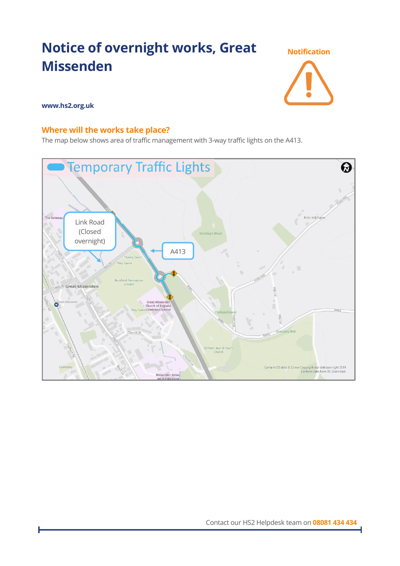## **Notice of overnight works, Great Missenden**



#### **www.hs2.org.uk**

#### **Where will the works take place?**

The map below shows area of traffic management with 3-way traffic lights on the A413.